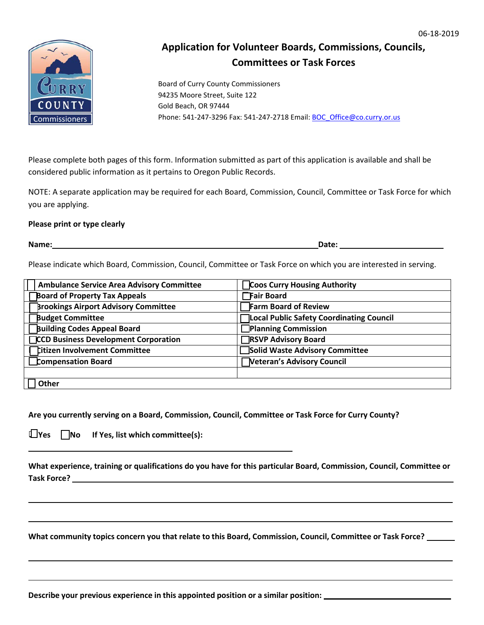

## **Application for Volunteer Boards, Commissions, Councils, Committees or Task Forces**

Board of Curry County Commissioners 94235 Moore Street, Suite 122 Gold Beach, OR 97444 Phone: 541-247-3296 Fax: 541-247-2718 Email: **BOC\_Office@co.curry.or.us** 

Please complete both pages of this form. Information submitted as part of this application is available and shall be considered public information as it pertains to Oregon Public Records.

NOTE: A separate application may be required for each Board, Commission, Council, Committee or Task Force for which you are applying.

## **Please print or type clearly**

**Name: Date:**

Please indicate which Board, Commission, Council, Committee or Task Force on which you are interested in serving.

| <b>Ambulance Service Area Advisory Committee</b> | <b>Coos Curry Housing Authority</b>             |
|--------------------------------------------------|-------------------------------------------------|
| <b>Board of Property Tax Appeals</b>             | Fair Board                                      |
| <b>Brookings Airport Advisory Committee</b>      | <b>Farm Board of Review</b>                     |
| <b>Budget Committee</b>                          | <b>Local Public Safety Coordinating Council</b> |
| <b>Building Codes Appeal Board</b>               | Planning Commission                             |
| <b>CCD Business Development Corporation</b>      | RSVP Advisory Board                             |
| <b>Citizen Involvement Committee</b>             | Solid Waste Advisory Committee                  |
| Compensation Board                               | Veteran's Advisory Council                      |
|                                                  |                                                 |
| Other                                            |                                                 |

**Are you currently serving on a Board, Commission, Council, Committee or Task Force for Curry County?**

**Yes No If Yes, list which committee(s):**

**What experience, training or qualifications do you have for this particular Board, Commission, Council, Committee or Task Force?**

**What community topics concern you that relate to this Board, Commission, Council, Committee or Task Force?**

**Describe your previous experience in this appointed position or a similar position:**